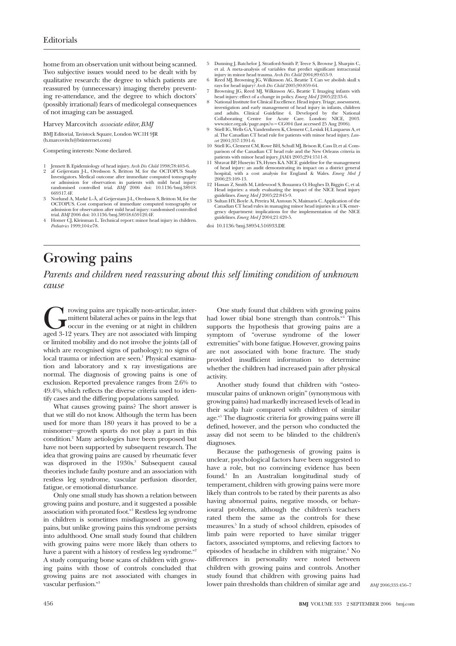home from an observation unit without being scanned. Two subjective issues would need to be dealt with by qualitative research: the degree to which patients are reassured by (unnecessary) imaging thereby preventing re-attendance, and the degree to which doctors' (possibly irrational) fears of medicolegal consequences of not imaging can be assuaged.

## Harvey Marcovitch *associate editor, BMJ*

BMJ Editorial, Tavistock Square, London WC1H 9JR (h.marcovitch@btinternet.com)

Competing interests: None declared.

- 1 Jennett B. Epidemiology of head injury. *Arch Dis Child* 1998;78:403-6.
- 2 af Geijerstam J-L, Oredsson S, Britton M, for the OCTOPUS Study Investigators. Medical outcome after immediate computed tomography or admission for observation in patients with mild head injury: randomised controlled trial. *BMJ* 2006 doi: 10.1136/bmj.38918. 669317.4F.
- 3 Norlund A, Marké L-Å, af Geijerstam J-L, Oredsson S, Britton M, for the OCTOPUS. Cost comparison of immediate computed tomography or admission for observation after mild head injury: randomised controlled trial. *BMJ* 2006 doi: 10.1136/bmj.38918.659120.4F.
- 4 Homer CJ, Kleinman L. Technical report: minor head injury in children. *Pediatrics* 1999;104:e78.
- 5 Dunning J, Batchelor J, Stratford-Smith P, Teece S, Browne J, Sharpin C,<br>et al. A meta-analysis of variables that predict significant intracranial<br>injury in minor head trauma. *Arch Dis Child* 2004;89:653-9.<br>6 Reed MJ, B
- 
- head injury: effect of a change in policy. *Emerg Med J* 2005;22:33-6.
- 8 National Institute for Clinical Excellence. Head injury. Triage, assessment, investigation and early management of head injury in infants, children and adults. Clinical Guideline 4. Developed by the National Collaborating Centre for Acute Care. London: NICE, 2003.
- www.nice.org.uk/page.aspx?o = CG004 (last accessed 25 Aug 2006). 9 Stiell IG, Wells GA, Vandemheen K, Clement C, Lesiuk H, Laupaeus A, et al. The Canadian CT head rule for patients with minor head injury. *Lan-cet* 2001;357:1391-6.
- 10 Stiell IG, Clement CM, Rowe BH, Schull MJ, Brison R, Cass D, et al. Comparison of the Canadian CT head rule and the New Orleans criteria in
- patients with minor head injury. *JAMA* 2005;294:1511-8. 11 Shravat BP, Huseyin TS, Hynes KA. NICE guideline for the management of head injury: an audit demonstrating its impact on a district general hospital, with a cost analysis for England & Wales. *Emerg Med J* 2006;23:109-13.
- 12 Hassan Z, Smith M, Littlewood S, Bouamra O, Hughes D, Biggin C, et al. Head injuries: a study evaluating the impact of the NICE head injury
- guidelines. *Emerg Med J* 2005;22:845-9. 13 Sultan HY, Boyle A, Pereira M, Antoun N, Maimaris C. Application of the Canadian CT head rules in managing minor head injuries in a UK emer-gency department: implications for the implementation of the NICE guidelines. *Emerg Med J* 2004;21:420-5.
- doi 10.1136/bmj.38954.516933.DE

## **Growing pains**

*Parents and children need reassuring about this self limiting condition of unknown cause*

The mittent bilateral aches or pains in the legs that the legs occur in the evening or at night in children aged 3-12 years. They are not associated with limping mittent bilateral aches or pains in the legs that occur in the evening or at night in children or limited mobility and do not involve the joints (all of which are recognised signs of pathology); no signs of local trauma or infection are seen.<sup>1</sup> Physical examination and laboratory and x ray investigations are normal. The diagnosis of growing pains is one of exclusion. Reported prevalence ranges from 2.6% to 49.4%, which reflects the diverse criteria used to identify cases and the differing populations sampled.

What causes growing pains? The short answer is that we still do not know. Although the term has been used for more than 180 years it has proved to be a misnomer—growth spurts do not play a part in this condition.2 Many aetiologies have been proposed but have not been supported by subsequent research. The idea that growing pains are caused by rheumatic fever was disproved in the 1930s.<sup>3</sup> Subsequent causal theories include faulty posture and an association with restless leg syndrome, vascular perfusion disorder, fatigue, or emotional disturbance.

Only one small study has shown a relation between growing pains and posture, and it suggested a possible association with pronated foot.<sup>w1</sup> Restless leg syndrome in children is sometimes misdiagnosed as growing pains, but unlike growing pains this syndrome persists into adulthood. One small study found that children with growing pains were more likely than others to have a parent with a history of restless leg syndrome. $x^2$ A study comparing bone scans of children with growing pains with those of controls concluded that growing pains are not associated with changes in vascular perfusion.<sup>w3</sup>

One study found that children with growing pains had lower tibial bone strength than controls. $N<sup>4</sup>$  This supports the hypothesis that growing pains are a symptom of "overuse syndrome of the lower extremities" with bone fatigue. However, growing pains are not associated with bone fracture. The study provided insufficient information to determine whether the children had increased pain after physical activity.

Another study found that children with "osteomuscular pains of unknown origin" (synonymous with growing pains) had markedly increased levels of lead in their scalp hair compared with children of similar age.<sup>w5</sup> The diagnostic criteria for growing pains were ill defined, however, and the person who conducted the assay did not seem to be blinded to the children's diagnoses.

Because the pathogenesis of growing pains is unclear, psychological factors have been suggested to have a role, but no convincing evidence has been found.4 In an Australian longitudinal study of temperament, children with growing pains were more likely than controls to be rated by their parents as also having abnormal pains, negative moods, or behavioural problems, although the children's teachers rated them the same as the controls for these measures.5 In a study of school children, episodes of limb pain were reported to have similar trigger factors, associated symptoms, and relieving factors to episodes of headache in children with migraine.<sup>6</sup> No differences in personality were noted between children with growing pains and controls. Another study found that children with growing pains had lower pain thresholds than children of similar age and